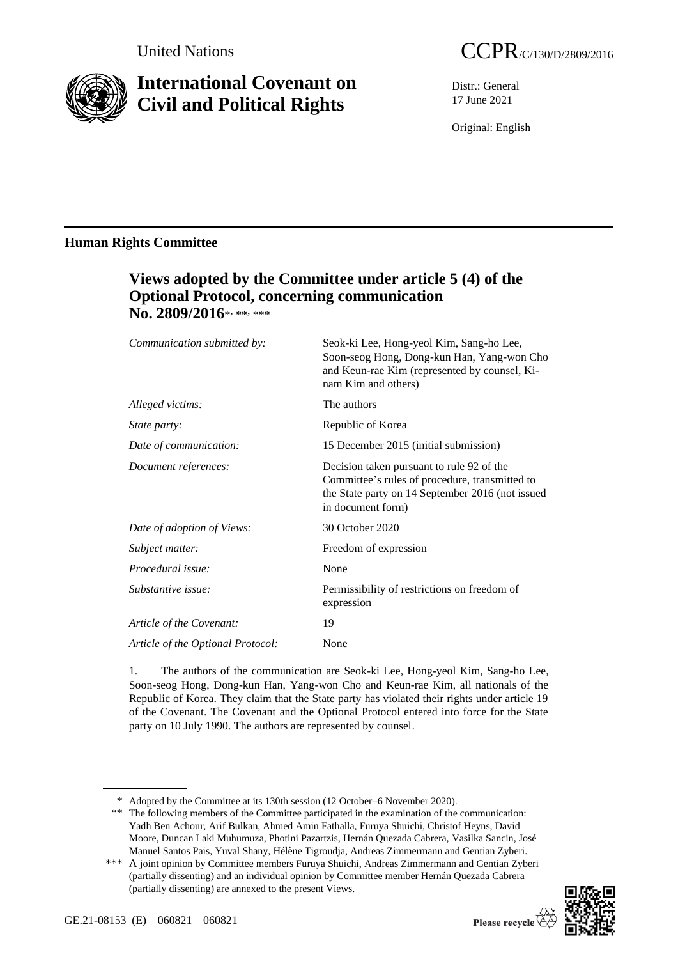

# **International Covenant on Civil and Political Rights**

Distr.: General 17 June 2021

Original: English

# **Human Rights Committee**

# **Views adopted by the Committee under article 5 (4) of the Optional Protocol, concerning communication**  No. 2809/2016\*, \*\*, \*\*\*

| Seok-ki Lee, Hong-yeol Kim, Sang-ho Lee,<br>Soon-seog Hong, Dong-kun Han, Yang-won Cho<br>and Keun-rae Kim (represented by counsel, Ki-<br>nam Kim and others)       |
|----------------------------------------------------------------------------------------------------------------------------------------------------------------------|
| The authors                                                                                                                                                          |
| Republic of Korea                                                                                                                                                    |
| 15 December 2015 (initial submission)                                                                                                                                |
| Decision taken pursuant to rule 92 of the<br>Committee's rules of procedure, transmitted to<br>the State party on 14 September 2016 (not issued<br>in document form) |
| 30 October 2020                                                                                                                                                      |
| Freedom of expression                                                                                                                                                |
| None                                                                                                                                                                 |
| Permissibility of restrictions on freedom of<br>expression                                                                                                           |
| 19                                                                                                                                                                   |
| None                                                                                                                                                                 |
|                                                                                                                                                                      |

1. The authors of the communication are Seok-ki Lee, Hong-yeol Kim, Sang-ho Lee, Soon-seog Hong, Dong-kun Han, Yang-won Cho and Keun-rae Kim, all nationals of the Republic of Korea. They claim that the State party has violated their rights under article 19 of the Covenant. The Covenant and the Optional Protocol entered into force for the State party on 10 July 1990. The authors are represented by counsel.

<sup>\*\*\*</sup> A joint opinion by Committee members Furuya Shuichi, Andreas Zimmermann and Gentian Zyberi (partially dissenting) and an individual opinion by Committee member Hernán Quezada Cabrera (partially dissenting) are annexed to the present Views.



<sup>\*</sup> Adopted by the Committee at its 130th session (12 October–6 November 2020).

<sup>\*\*</sup> The following members of the Committee participated in the examination of the communication: Yadh Ben Achour, Arif Bulkan, Ahmed Amin Fathalla, Furuya Shuichi, Christof Heyns, David Moore, Duncan Laki Muhumuza, Photini Pazartzis, Hernán Quezada Cabrera, Vasilka Sancin, José Manuel Santos Pais, Yuval Shany, Hélène Tigroudja, Andreas Zimmermann and Gentian Zyberi.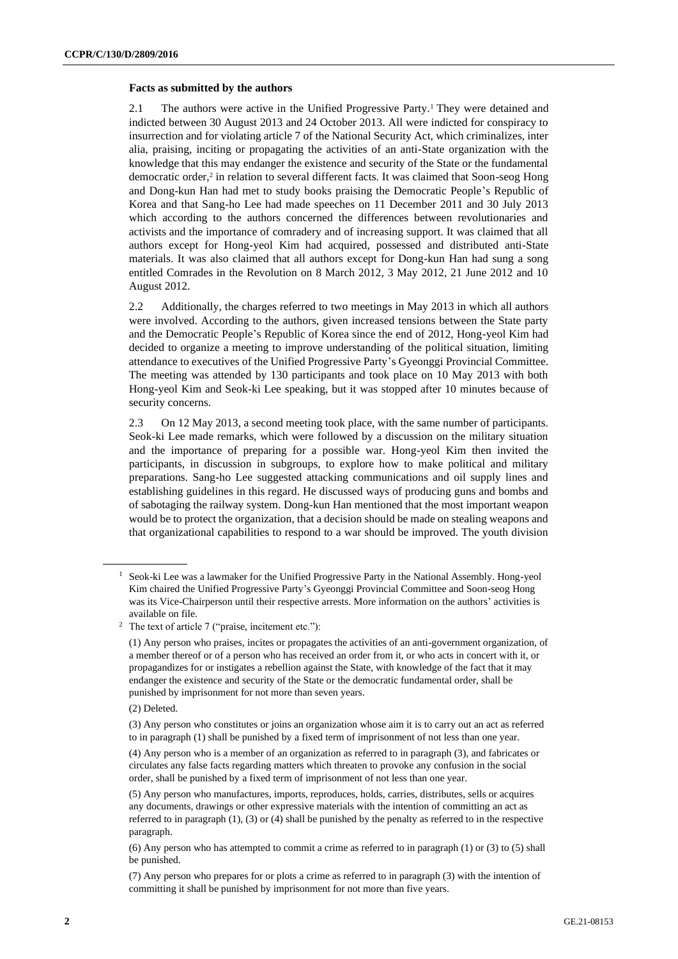#### **Facts as submitted by the authors**

2.1 The authors were active in the Unified Progressive Party.<sup>1</sup> They were detained and indicted between 30 August 2013 and 24 October 2013. All were indicted for conspiracy to insurrection and for violating article 7 of the National Security Act, which criminalizes, inter alia, praising, inciting or propagating the activities of an anti-State organization with the knowledge that this may endanger the existence and security of the State or the fundamental democratic order,<sup>2</sup> in relation to several different facts. It was claimed that Soon-seog Hong and Dong-kun Han had met to study books praising the Democratic People's Republic of Korea and that Sang-ho Lee had made speeches on 11 December 2011 and 30 July 2013 which according to the authors concerned the differences between revolutionaries and activists and the importance of comradery and of increasing support. It was claimed that all authors except for Hong-yeol Kim had acquired, possessed and distributed anti-State materials. It was also claimed that all authors except for Dong-kun Han had sung a song entitled Comrades in the Revolution on 8 March 2012, 3 May 2012, 21 June 2012 and 10 August 2012.

2.2 Additionally, the charges referred to two meetings in May 2013 in which all authors were involved. According to the authors, given increased tensions between the State party and the Democratic People's Republic of Korea since the end of 2012, Hong-yeol Kim had decided to organize a meeting to improve understanding of the political situation, limiting attendance to executives of the Unified Progressive Party's Gyeonggi Provincial Committee. The meeting was attended by 130 participants and took place on 10 May 2013 with both Hong-yeol Kim and Seok-ki Lee speaking, but it was stopped after 10 minutes because of security concerns.

2.3 On 12 May 2013, a second meeting took place, with the same number of participants. Seok-ki Lee made remarks, which were followed by a discussion on the military situation and the importance of preparing for a possible war. Hong-yeol Kim then invited the participants, in discussion in subgroups, to explore how to make political and military preparations. Sang-ho Lee suggested attacking communications and oil supply lines and establishing guidelines in this regard. He discussed ways of producing guns and bombs and of sabotaging the railway system. Dong-kun Han mentioned that the most important weapon would be to protect the organization, that a decision should be made on stealing weapons and that organizational capabilities to respond to a war should be improved. The youth division

(2) Deleted.

<sup>&</sup>lt;sup>1</sup> Seok-ki Lee was a lawmaker for the Unified Progressive Party in the National Assembly. Hong-yeol Kim chaired the Unified Progressive Party's Gyeonggi Provincial Committee and Soon-seog Hong was its Vice-Chairperson until their respective arrests. More information on the authors' activities is available on file.

<sup>2</sup> The text of article 7 ("praise, incitement etc."):

<sup>(1)</sup> Any person who praises, incites or propagates the activities of an anti-government organization, of a member thereof or of a person who has received an order from it, or who acts in concert with it, or propagandizes for or instigates a rebellion against the State, with knowledge of the fact that it may endanger the existence and security of the State or the democratic fundamental order, shall be punished by imprisonment for not more than seven years.

<sup>(3)</sup> Any person who constitutes or joins an organization whose aim it is to carry out an act as referred to in paragraph (1) shall be punished by a fixed term of imprisonment of not less than one year.

<sup>(4)</sup> Any person who is a member of an organization as referred to in paragraph (3), and fabricates or circulates any false facts regarding matters which threaten to provoke any confusion in the social order, shall be punished by a fixed term of imprisonment of not less than one year.

<sup>(5)</sup> Any person who manufactures, imports, reproduces, holds, carries, distributes, sells or acquires any documents, drawings or other expressive materials with the intention of committing an act as referred to in paragraph (1), (3) or (4) shall be punished by the penalty as referred to in the respective paragraph.

<sup>(6)</sup> Any person who has attempted to commit a crime as referred to in paragraph (1) or (3) to (5) shall be punished.

<sup>(7)</sup> Any person who prepares for or plots a crime as referred to in paragraph (3) with the intention of committing it shall be punished by imprisonment for not more than five years.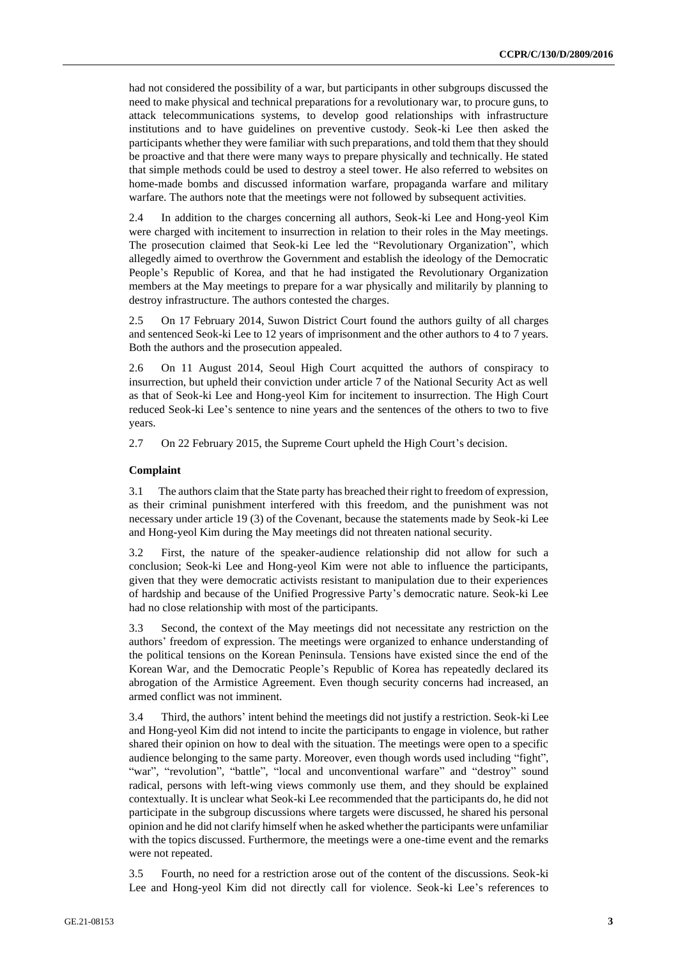had not considered the possibility of a war, but participants in other subgroups discussed the need to make physical and technical preparations for a revolutionary war, to procure guns, to attack telecommunications systems, to develop good relationships with infrastructure institutions and to have guidelines on preventive custody. Seok-ki Lee then asked the participants whether they were familiar with such preparations, and told them that they should be proactive and that there were many ways to prepare physically and technically. He stated that simple methods could be used to destroy a steel tower. He also referred to websites on home-made bombs and discussed information warfare, propaganda warfare and military warfare. The authors note that the meetings were not followed by subsequent activities.

2.4 In addition to the charges concerning all authors, Seok-ki Lee and Hong-yeol Kim were charged with incitement to insurrection in relation to their roles in the May meetings. The prosecution claimed that Seok-ki Lee led the "Revolutionary Organization", which allegedly aimed to overthrow the Government and establish the ideology of the Democratic People's Republic of Korea, and that he had instigated the Revolutionary Organization members at the May meetings to prepare for a war physically and militarily by planning to destroy infrastructure. The authors contested the charges.

2.5 On 17 February 2014, Suwon District Court found the authors guilty of all charges and sentenced Seok-ki Lee to 12 years of imprisonment and the other authors to 4 to 7 years. Both the authors and the prosecution appealed.

2.6 On 11 August 2014, Seoul High Court acquitted the authors of conspiracy to insurrection, but upheld their conviction under article 7 of the National Security Act as well as that of Seok-ki Lee and Hong-yeol Kim for incitement to insurrection. The High Court reduced Seok-ki Lee's sentence to nine years and the sentences of the others to two to five years.

2.7 On 22 February 2015, the Supreme Court upheld the High Court's decision.

#### **Complaint**

3.1 The authors claim that the State party has breached their right to freedom of expression, as their criminal punishment interfered with this freedom, and the punishment was not necessary under article 19 (3) of the Covenant, because the statements made by Seok-ki Lee and Hong-yeol Kim during the May meetings did not threaten national security.

3.2 First, the nature of the speaker-audience relationship did not allow for such a conclusion; Seok-ki Lee and Hong-yeol Kim were not able to influence the participants, given that they were democratic activists resistant to manipulation due to their experiences of hardship and because of the Unified Progressive Party's democratic nature. Seok-ki Lee had no close relationship with most of the participants.

3.3 Second, the context of the May meetings did not necessitate any restriction on the authors' freedom of expression. The meetings were organized to enhance understanding of the political tensions on the Korean Peninsula. Tensions have existed since the end of the Korean War, and the Democratic People's Republic of Korea has repeatedly declared its abrogation of the Armistice Agreement. Even though security concerns had increased, an armed conflict was not imminent.

3.4 Third, the authors' intent behind the meetings did not justify a restriction. Seok-ki Lee and Hong-yeol Kim did not intend to incite the participants to engage in violence, but rather shared their opinion on how to deal with the situation. The meetings were open to a specific audience belonging to the same party. Moreover, even though words used including "fight", "war", "revolution", "battle", "local and unconventional warfare" and "destroy" sound radical, persons with left-wing views commonly use them, and they should be explained contextually. It is unclear what Seok-ki Lee recommended that the participants do, he did not participate in the subgroup discussions where targets were discussed, he shared his personal opinion and he did not clarify himself when he asked whether the participants were unfamiliar with the topics discussed. Furthermore, the meetings were a one-time event and the remarks were not repeated.

3.5 Fourth, no need for a restriction arose out of the content of the discussions. Seok-ki Lee and Hong-yeol Kim did not directly call for violence. Seok-ki Lee's references to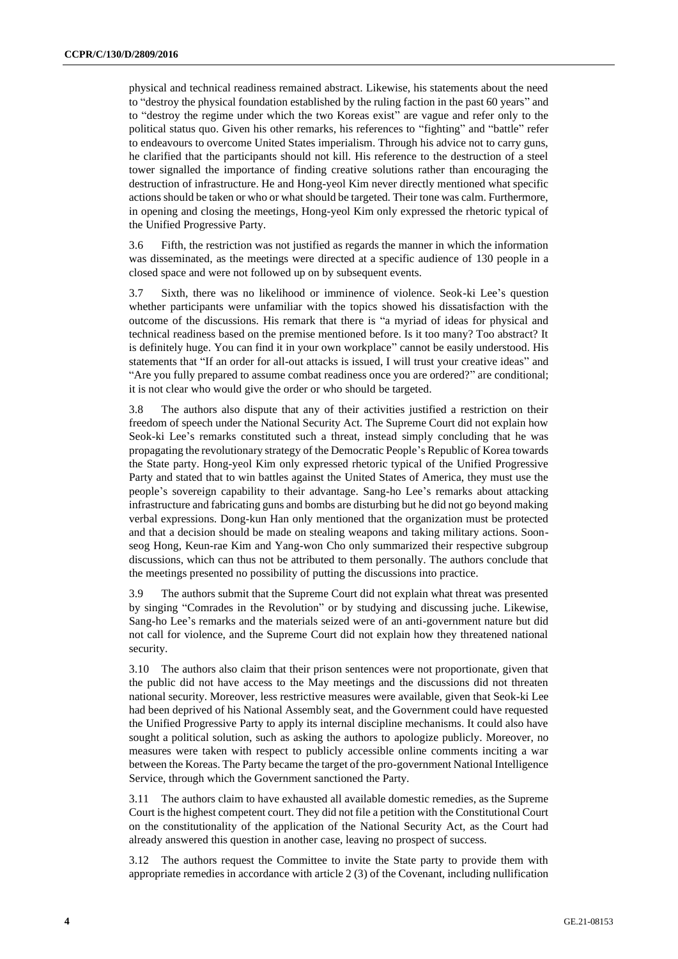physical and technical readiness remained abstract. Likewise, his statements about the need to "destroy the physical foundation established by the ruling faction in the past 60 years" and to "destroy the regime under which the two Koreas exist" are vague and refer only to the political status quo. Given his other remarks, his references to "fighting" and "battle" refer to endeavours to overcome United States imperialism. Through his advice not to carry guns, he clarified that the participants should not kill. His reference to the destruction of a steel tower signalled the importance of finding creative solutions rather than encouraging the destruction of infrastructure. He and Hong-yeol Kim never directly mentioned what specific actions should be taken or who or what should be targeted. Their tone was calm. Furthermore, in opening and closing the meetings, Hong-yeol Kim only expressed the rhetoric typical of the Unified Progressive Party.

3.6 Fifth, the restriction was not justified as regards the manner in which the information was disseminated, as the meetings were directed at a specific audience of 130 people in a closed space and were not followed up on by subsequent events.

3.7 Sixth, there was no likelihood or imminence of violence. Seok-ki Lee's question whether participants were unfamiliar with the topics showed his dissatisfaction with the outcome of the discussions. His remark that there is "a myriad of ideas for physical and technical readiness based on the premise mentioned before. Is it too many? Too abstract? It is definitely huge. You can find it in your own workplace" cannot be easily understood. His statements that "If an order for all-out attacks is issued, I will trust your creative ideas" and "Are you fully prepared to assume combat readiness once you are ordered?" are conditional; it is not clear who would give the order or who should be targeted.

3.8 The authors also dispute that any of their activities justified a restriction on their freedom of speech under the National Security Act. The Supreme Court did not explain how Seok-ki Lee's remarks constituted such a threat, instead simply concluding that he was propagating the revolutionary strategy of the Democratic People's Republic of Korea towards the State party. Hong-yeol Kim only expressed rhetoric typical of the Unified Progressive Party and stated that to win battles against the United States of America, they must use the people's sovereign capability to their advantage. Sang-ho Lee's remarks about attacking infrastructure and fabricating guns and bombs are disturbing but he did not go beyond making verbal expressions. Dong-kun Han only mentioned that the organization must be protected and that a decision should be made on stealing weapons and taking military actions. Soonseog Hong, Keun-rae Kim and Yang-won Cho only summarized their respective subgroup discussions, which can thus not be attributed to them personally. The authors conclude that the meetings presented no possibility of putting the discussions into practice.

3.9 The authors submit that the Supreme Court did not explain what threat was presented by singing "Comrades in the Revolution" or by studying and discussing juche. Likewise, Sang-ho Lee's remarks and the materials seized were of an anti-government nature but did not call for violence, and the Supreme Court did not explain how they threatened national security.

3.10 The authors also claim that their prison sentences were not proportionate, given that the public did not have access to the May meetings and the discussions did not threaten national security. Moreover, less restrictive measures were available, given that Seok-ki Lee had been deprived of his National Assembly seat, and the Government could have requested the Unified Progressive Party to apply its internal discipline mechanisms. It could also have sought a political solution, such as asking the authors to apologize publicly. Moreover, no measures were taken with respect to publicly accessible online comments inciting a war between the Koreas. The Party became the target of the pro-government National Intelligence Service, through which the Government sanctioned the Party.

3.11 The authors claim to have exhausted all available domestic remedies, as the Supreme Court is the highest competent court. They did not file a petition with the Constitutional Court on the constitutionality of the application of the National Security Act, as the Court had already answered this question in another case, leaving no prospect of success.

3.12 The authors request the Committee to invite the State party to provide them with appropriate remedies in accordance with article 2 (3) of the Covenant, including nullification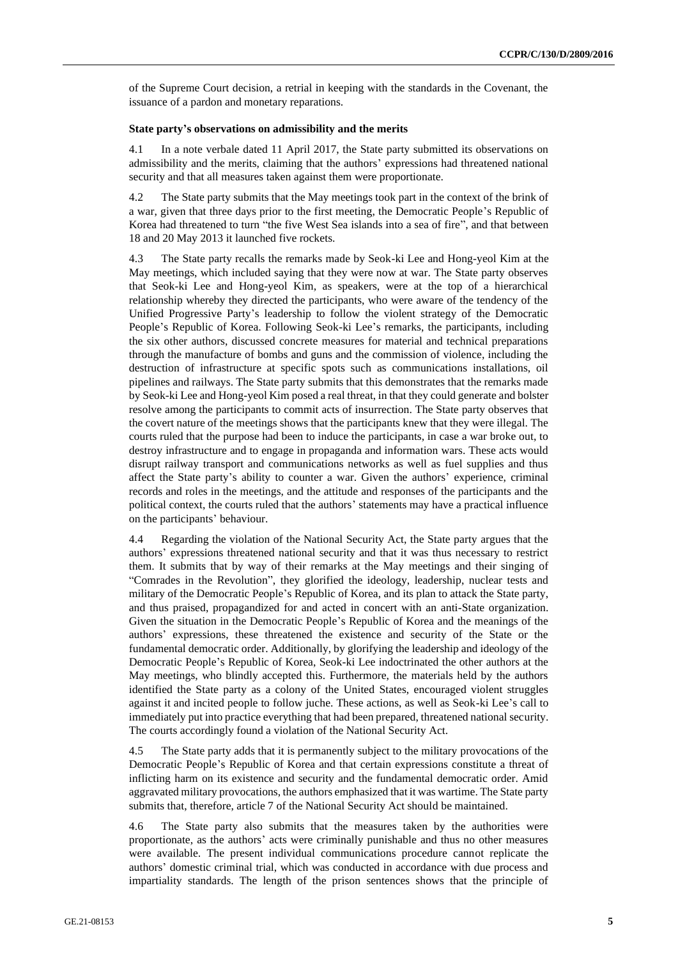of the Supreme Court decision, a retrial in keeping with the standards in the Covenant, the issuance of a pardon and monetary reparations.

#### **State party's observations on admissibility and the merits**

4.1 In a note verbale dated 11 April 2017, the State party submitted its observations on admissibility and the merits, claiming that the authors' expressions had threatened national security and that all measures taken against them were proportionate.

4.2 The State party submits that the May meetings took part in the context of the brink of a war, given that three days prior to the first meeting, the Democratic People's Republic of Korea had threatened to turn "the five West Sea islands into a sea of fire", and that between 18 and 20 May 2013 it launched five rockets.

4.3 The State party recalls the remarks made by Seok-ki Lee and Hong-yeol Kim at the May meetings, which included saying that they were now at war. The State party observes that Seok-ki Lee and Hong-yeol Kim, as speakers, were at the top of a hierarchical relationship whereby they directed the participants, who were aware of the tendency of the Unified Progressive Party's leadership to follow the violent strategy of the Democratic People's Republic of Korea. Following Seok-ki Lee's remarks, the participants, including the six other authors, discussed concrete measures for material and technical preparations through the manufacture of bombs and guns and the commission of violence, including the destruction of infrastructure at specific spots such as communications installations, oil pipelines and railways. The State party submits that this demonstrates that the remarks made by Seok-ki Lee and Hong-yeol Kim posed a real threat, in that they could generate and bolster resolve among the participants to commit acts of insurrection. The State party observes that the covert nature of the meetings shows that the participants knew that they were illegal. The courts ruled that the purpose had been to induce the participants, in case a war broke out, to destroy infrastructure and to engage in propaganda and information wars. These acts would disrupt railway transport and communications networks as well as fuel supplies and thus affect the State party's ability to counter a war. Given the authors' experience, criminal records and roles in the meetings, and the attitude and responses of the participants and the political context, the courts ruled that the authors' statements may have a practical influence on the participants' behaviour.

4.4 Regarding the violation of the National Security Act, the State party argues that the authors' expressions threatened national security and that it was thus necessary to restrict them. It submits that by way of their remarks at the May meetings and their singing of "Comrades in the Revolution", they glorified the ideology, leadership, nuclear tests and military of the Democratic People's Republic of Korea, and its plan to attack the State party, and thus praised, propagandized for and acted in concert with an anti-State organization. Given the situation in the Democratic People's Republic of Korea and the meanings of the authors' expressions, these threatened the existence and security of the State or the fundamental democratic order. Additionally, by glorifying the leadership and ideology of the Democratic People's Republic of Korea, Seok-ki Lee indoctrinated the other authors at the May meetings, who blindly accepted this. Furthermore, the materials held by the authors identified the State party as a colony of the United States, encouraged violent struggles against it and incited people to follow juche. These actions, as well as Seok-ki Lee's call to immediately put into practice everything that had been prepared, threatened national security. The courts accordingly found a violation of the National Security Act.

4.5 The State party adds that it is permanently subject to the military provocations of the Democratic People's Republic of Korea and that certain expressions constitute a threat of inflicting harm on its existence and security and the fundamental democratic order. Amid aggravated military provocations, the authors emphasized that it was wartime. The State party submits that, therefore, article 7 of the National Security Act should be maintained.

4.6 The State party also submits that the measures taken by the authorities were proportionate, as the authors' acts were criminally punishable and thus no other measures were available. The present individual communications procedure cannot replicate the authors' domestic criminal trial, which was conducted in accordance with due process and impartiality standards. The length of the prison sentences shows that the principle of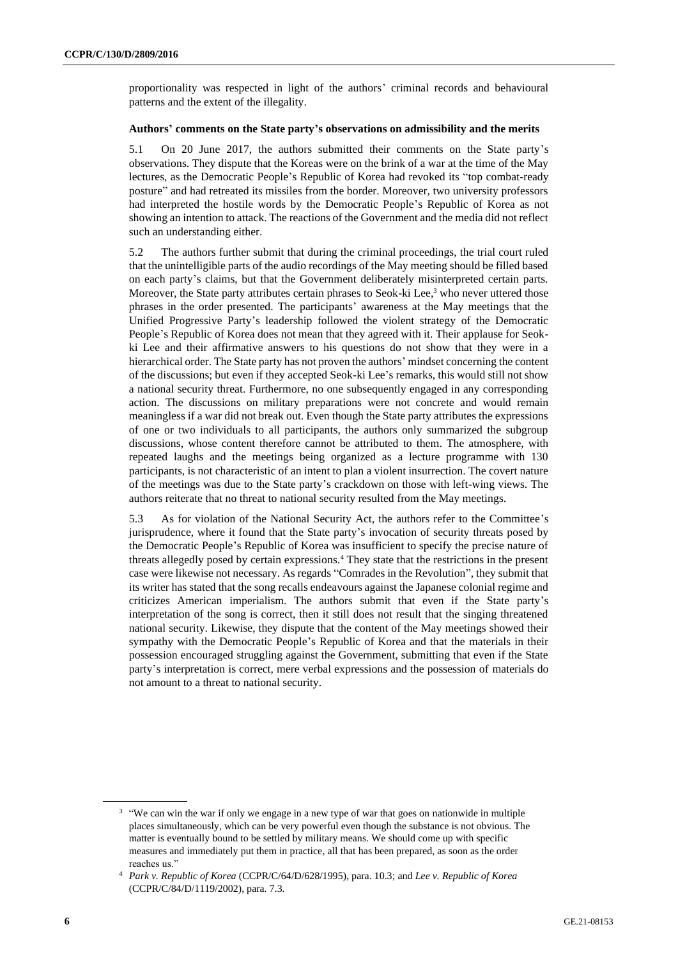proportionality was respected in light of the authors' criminal records and behavioural patterns and the extent of the illegality.

#### **Authors' comments on the State party's observations on admissibility and the merits**

5.1 On 20 June 2017, the authors submitted their comments on the State party's observations. They dispute that the Koreas were on the brink of a war at the time of the May lectures, as the Democratic People's Republic of Korea had revoked its "top combat-ready posture" and had retreated its missiles from the border. Moreover, two university professors had interpreted the hostile words by the Democratic People's Republic of Korea as not showing an intention to attack. The reactions of the Government and the media did not reflect such an understanding either.

5.2 The authors further submit that during the criminal proceedings, the trial court ruled that the unintelligible parts of the audio recordings of the May meeting should be filled based on each party's claims, but that the Government deliberately misinterpreted certain parts. Moreover, the State party attributes certain phrases to Seok-ki Lee, $3$  who never uttered those phrases in the order presented. The participants' awareness at the May meetings that the Unified Progressive Party's leadership followed the violent strategy of the Democratic People's Republic of Korea does not mean that they agreed with it. Their applause for Seokki Lee and their affirmative answers to his questions do not show that they were in a hierarchical order. The State party has not proven the authors' mindset concerning the content of the discussions; but even if they accepted Seok-ki Lee's remarks, this would still not show a national security threat. Furthermore, no one subsequently engaged in any corresponding action. The discussions on military preparations were not concrete and would remain meaningless if a war did not break out. Even though the State party attributes the expressions of one or two individuals to all participants, the authors only summarized the subgroup discussions, whose content therefore cannot be attributed to them. The atmosphere, with repeated laughs and the meetings being organized as a lecture programme with 130 participants, is not characteristic of an intent to plan a violent insurrection. The covert nature of the meetings was due to the State party's crackdown on those with left-wing views. The authors reiterate that no threat to national security resulted from the May meetings.

5.3 As for violation of the National Security Act, the authors refer to the Committee's jurisprudence, where it found that the State party's invocation of security threats posed by the Democratic People's Republic of Korea was insufficient to specify the precise nature of threats allegedly posed by certain expressions.<sup>4</sup> They state that the restrictions in the present case were likewise not necessary. As regards "Comrades in the Revolution", they submit that its writer has stated that the song recalls endeavours against the Japanese colonial regime and criticizes American imperialism. The authors submit that even if the State party's interpretation of the song is correct, then it still does not result that the singing threatened national security. Likewise, they dispute that the content of the May meetings showed their sympathy with the Democratic People's Republic of Korea and that the materials in their possession encouraged struggling against the Government, submitting that even if the State party's interpretation is correct, mere verbal expressions and the possession of materials do not amount to a threat to national security.

<sup>&</sup>lt;sup>3</sup> "We can win the war if only we engage in a new type of war that goes on nationwide in multiple places simultaneously, which can be very powerful even though the substance is not obvious. The matter is eventually bound to be settled by military means. We should come up with specific measures and immediately put them in practice, all that has been prepared, as soon as the order reaches us."

<sup>4</sup> *Park v. Republic of Korea* (CCPR/C/64/D/628/1995), para. 10.3; and *Lee v. Republic of Korea* (CCPR/C/84/D/1119/2002), para. 7.3.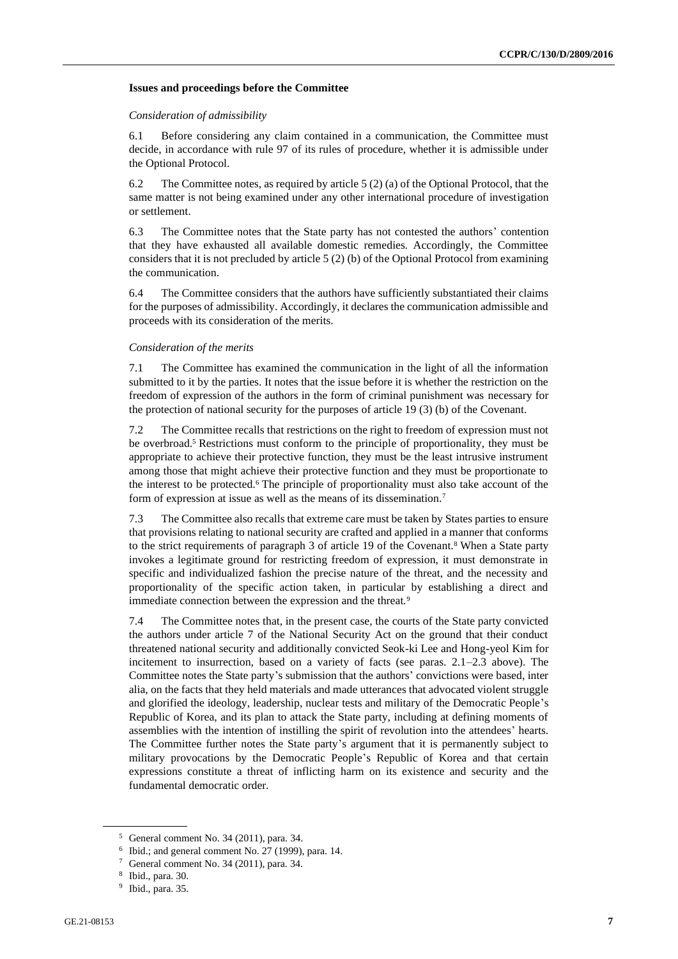#### **Issues and proceedings before the Committee**

#### *Consideration of admissibility*

6.1 Before considering any claim contained in a communication, the Committee must decide, in accordance with rule 97 of its rules of procedure, whether it is admissible under the Optional Protocol.

6.2 The Committee notes, as required by article 5 (2) (a) of the Optional Protocol, that the same matter is not being examined under any other international procedure of investigation or settlement.

6.3 The Committee notes that the State party has not contested the authors' contention that they have exhausted all available domestic remedies. Accordingly, the Committee considers that it is not precluded by article 5 (2) (b) of the Optional Protocol from examining the communication.

6.4 The Committee considers that the authors have sufficiently substantiated their claims for the purposes of admissibility. Accordingly, it declares the communication admissible and proceeds with its consideration of the merits.

#### *Consideration of the merits*

7.1 The Committee has examined the communication in the light of all the information submitted to it by the parties. It notes that the issue before it is whether the restriction on the freedom of expression of the authors in the form of criminal punishment was necessary for the protection of national security for the purposes of article 19 (3) (b) of the Covenant.

7.2 The Committee recalls that restrictions on the right to freedom of expression must not be overbroad.<sup>5</sup> Restrictions must conform to the principle of proportionality, they must be appropriate to achieve their protective function, they must be the least intrusive instrument among those that might achieve their protective function and they must be proportionate to the interest to be protected.<sup>6</sup> The principle of proportionality must also take account of the form of expression at issue as well as the means of its dissemination.<sup>7</sup>

7.3 The Committee also recalls that extreme care must be taken by States parties to ensure that provisions relating to national security are crafted and applied in a manner that conforms to the strict requirements of paragraph 3 of article 19 of the Covenant.<sup>8</sup> When a State party invokes a legitimate ground for restricting freedom of expression, it must demonstrate in specific and individualized fashion the precise nature of the threat, and the necessity and proportionality of the specific action taken, in particular by establishing a direct and immediate connection between the expression and the threat.<sup>9</sup>

7.4 The Committee notes that, in the present case, the courts of the State party convicted the authors under article 7 of the National Security Act on the ground that their conduct threatened national security and additionally convicted Seok-ki Lee and Hong-yeol Kim for incitement to insurrection, based on a variety of facts (see paras. 2.1–2.3 above). The Committee notes the State party's submission that the authors' convictions were based, inter alia, on the facts that they held materials and made utterances that advocated violent struggle and glorified the ideology, leadership, nuclear tests and military of the Democratic People's Republic of Korea, and its plan to attack the State party, including at defining moments of assemblies with the intention of instilling the spirit of revolution into the attendees' hearts. The Committee further notes the State party's argument that it is permanently subject to military provocations by the Democratic People's Republic of Korea and that certain expressions constitute a threat of inflicting harm on its existence and security and the fundamental democratic order.

<sup>5</sup> General comment No. 34 (2011), para. 34.

<sup>6</sup> Ibid.; and general comment No. 27 (1999), para. 14.

General comment No. 34 (2011), para. 34.

<sup>8</sup> Ibid., para. 30.

<sup>9</sup> Ibid., para. 35.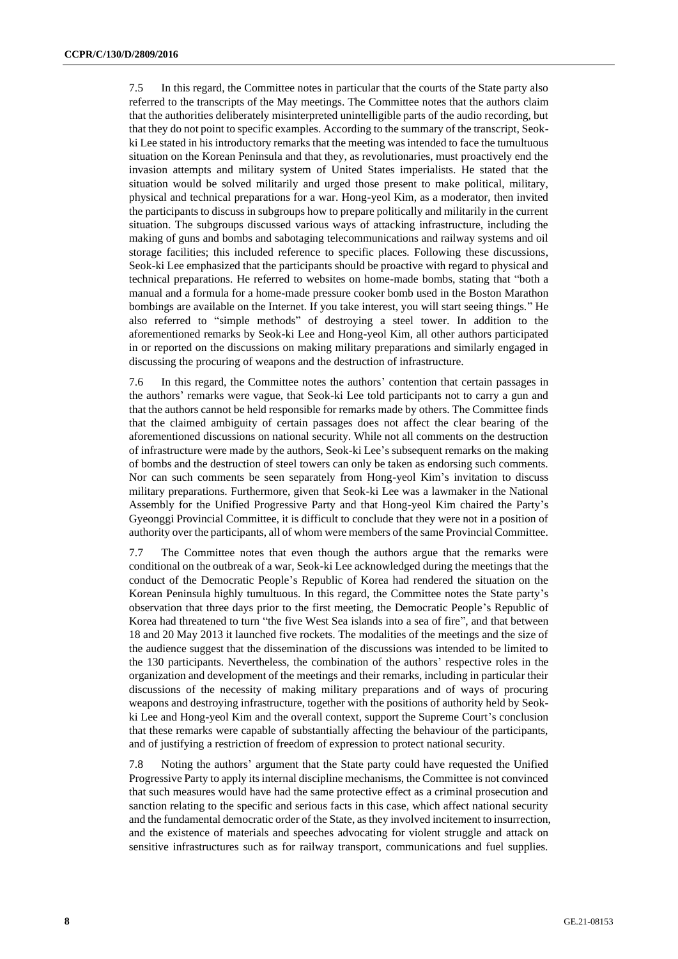7.5 In this regard, the Committee notes in particular that the courts of the State party also referred to the transcripts of the May meetings. The Committee notes that the authors claim that the authorities deliberately misinterpreted unintelligible parts of the audio recording, but that they do not point to specific examples. According to the summary of the transcript, Seokki Lee stated in his introductory remarks that the meeting was intended to face the tumultuous situation on the Korean Peninsula and that they, as revolutionaries, must proactively end the invasion attempts and military system of United States imperialists. He stated that the situation would be solved militarily and urged those present to make political, military, physical and technical preparations for a war. Hong-yeol Kim, as a moderator, then invited the participants to discuss in subgroups how to prepare politically and militarily in the current situation. The subgroups discussed various ways of attacking infrastructure, including the making of guns and bombs and sabotaging telecommunications and railway systems and oil storage facilities; this included reference to specific places. Following these discussions, Seok-ki Lee emphasized that the participants should be proactive with regard to physical and technical preparations. He referred to websites on home-made bombs, stating that "both a manual and a formula for a home-made pressure cooker bomb used in the Boston Marathon bombings are available on the Internet. If you take interest, you will start seeing things." He also referred to "simple methods" of destroying a steel tower. In addition to the aforementioned remarks by Seok-ki Lee and Hong-yeol Kim, all other authors participated in or reported on the discussions on making military preparations and similarly engaged in discussing the procuring of weapons and the destruction of infrastructure.

7.6 In this regard, the Committee notes the authors' contention that certain passages in the authors' remarks were vague, that Seok-ki Lee told participants not to carry a gun and that the authors cannot be held responsible for remarks made by others. The Committee finds that the claimed ambiguity of certain passages does not affect the clear bearing of the aforementioned discussions on national security. While not all comments on the destruction of infrastructure were made by the authors, Seok-ki Lee's subsequent remarks on the making of bombs and the destruction of steel towers can only be taken as endorsing such comments. Nor can such comments be seen separately from Hong-yeol Kim's invitation to discuss military preparations. Furthermore, given that Seok-ki Lee was a lawmaker in the National Assembly for the Unified Progressive Party and that Hong-yeol Kim chaired the Party's Gyeonggi Provincial Committee, it is difficult to conclude that they were not in a position of authority over the participants, all of whom were members of the same Provincial Committee.

7.7 The Committee notes that even though the authors argue that the remarks were conditional on the outbreak of a war, Seok-ki Lee acknowledged during the meetings that the conduct of the Democratic People's Republic of Korea had rendered the situation on the Korean Peninsula highly tumultuous. In this regard, the Committee notes the State party's observation that three days prior to the first meeting, the Democratic People's Republic of Korea had threatened to turn "the five West Sea islands into a sea of fire", and that between 18 and 20 May 2013 it launched five rockets. The modalities of the meetings and the size of the audience suggest that the dissemination of the discussions was intended to be limited to the 130 participants. Nevertheless, the combination of the authors' respective roles in the organization and development of the meetings and their remarks, including in particular their discussions of the necessity of making military preparations and of ways of procuring weapons and destroying infrastructure, together with the positions of authority held by Seokki Lee and Hong-yeol Kim and the overall context, support the Supreme Court's conclusion that these remarks were capable of substantially affecting the behaviour of the participants, and of justifying a restriction of freedom of expression to protect national security.

7.8 Noting the authors' argument that the State party could have requested the Unified Progressive Party to apply its internal discipline mechanisms, the Committee is not convinced that such measures would have had the same protective effect as a criminal prosecution and sanction relating to the specific and serious facts in this case, which affect national security and the fundamental democratic order of the State, as they involved incitement to insurrection, and the existence of materials and speeches advocating for violent struggle and attack on sensitive infrastructures such as for railway transport, communications and fuel supplies.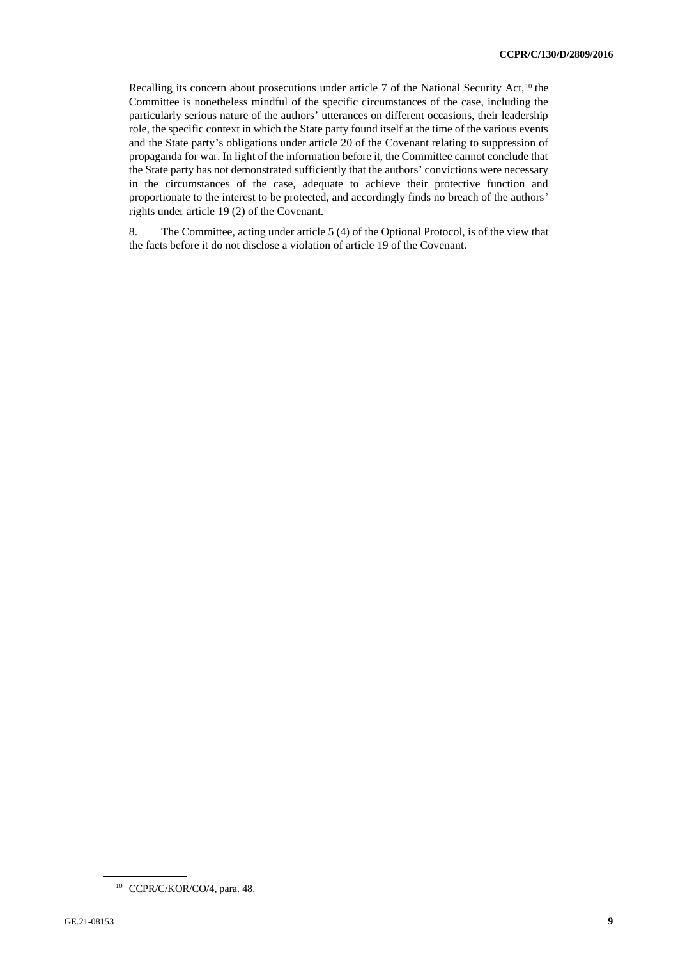Recalling its concern about prosecutions under article  $7$  of the National Security Act,<sup>10</sup> the Committee is nonetheless mindful of the specific circumstances of the case, including the particularly serious nature of the authors' utterances on different occasions, their leadership role, the specific context in which the State party found itself at the time of the various events and the State party's obligations under article 20 of the Covenant relating to suppression of propaganda for war. In light of the information before it, the Committee cannot conclude that the State party has not demonstrated sufficiently that the authors' convictions were necessary in the circumstances of the case, adequate to achieve their protective function and proportionate to the interest to be protected, and accordingly finds no breach of the authors' rights under article 19 (2) of the Covenant.

8. The Committee, acting under article 5 (4) of the Optional Protocol, is of the view that the facts before it do not disclose a violation of article 19 of the Covenant.

<sup>10</sup> CCPR/C/KOR/CO/4, para. 48.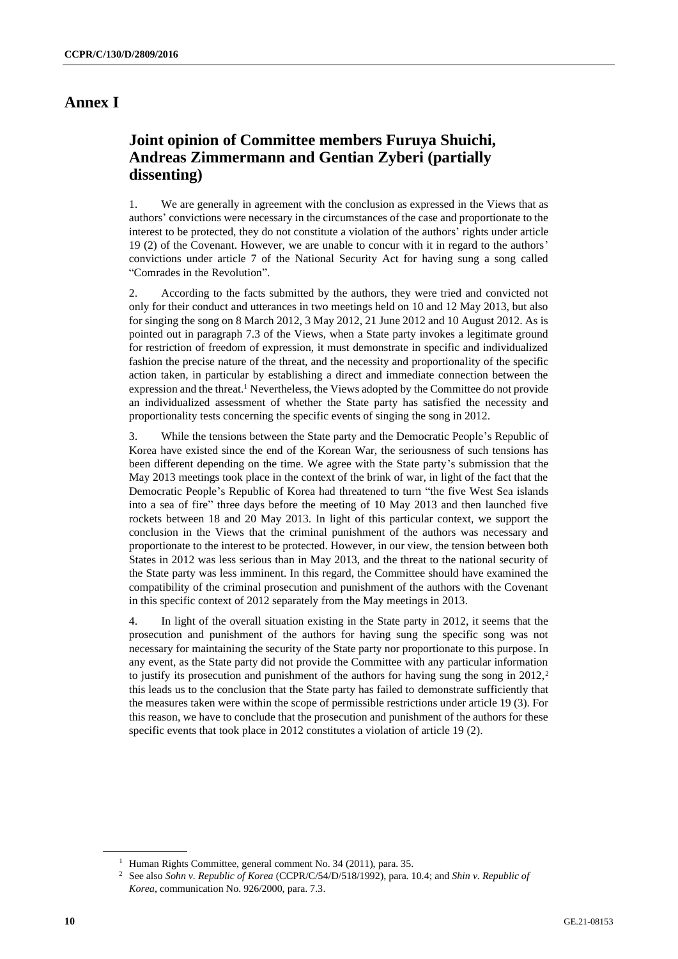## **Annex I**

# **Joint opinion of Committee members Furuya Shuichi, Andreas Zimmermann and Gentian Zyberi (partially dissenting)**

1. We are generally in agreement with the conclusion as expressed in the Views that as authors' convictions were necessary in the circumstances of the case and proportionate to the interest to be protected, they do not constitute a violation of the authors' rights under article 19 (2) of the Covenant. However, we are unable to concur with it in regard to the authors' convictions under article 7 of the National Security Act for having sung a song called "Comrades in the Revolution".

2. According to the facts submitted by the authors, they were tried and convicted not only for their conduct and utterances in two meetings held on 10 and 12 May 2013, but also for singing the song on 8 March 2012, 3 May 2012, 21 June 2012 and 10 August 2012. As is pointed out in paragraph 7.3 of the Views, when a State party invokes a legitimate ground for restriction of freedom of expression, it must demonstrate in specific and individualized fashion the precise nature of the threat, and the necessity and proportionality of the specific action taken, in particular by establishing a direct and immediate connection between the expression and the threat.<sup>1</sup> Nevertheless, the Views adopted by the Committee do not provide an individualized assessment of whether the State party has satisfied the necessity and proportionality tests concerning the specific events of singing the song in 2012.

3. While the tensions between the State party and the Democratic People's Republic of Korea have existed since the end of the Korean War, the seriousness of such tensions has been different depending on the time. We agree with the State party's submission that the May 2013 meetings took place in the context of the brink of war, in light of the fact that the Democratic People's Republic of Korea had threatened to turn "the five West Sea islands into a sea of fire" three days before the meeting of 10 May 2013 and then launched five rockets between 18 and 20 May 2013. In light of this particular context, we support the conclusion in the Views that the criminal punishment of the authors was necessary and proportionate to the interest to be protected. However, in our view, the tension between both States in 2012 was less serious than in May 2013, and the threat to the national security of the State party was less imminent. In this regard, the Committee should have examined the compatibility of the criminal prosecution and punishment of the authors with the Covenant in this specific context of 2012 separately from the May meetings in 2013.

4. In light of the overall situation existing in the State party in 2012, it seems that the prosecution and punishment of the authors for having sung the specific song was not necessary for maintaining the security of the State party nor proportionate to this purpose. In any event, as the State party did not provide the Committee with any particular information to justify its prosecution and punishment of the authors for having sung the song in  $2012$ ,<sup>2</sup> this leads us to the conclusion that the State party has failed to demonstrate sufficiently that the measures taken were within the scope of permissible restrictions under article 19 (3). For this reason, we have to conclude that the prosecution and punishment of the authors for these specific events that took place in 2012 constitutes a violation of article 19 (2).

<sup>&</sup>lt;sup>1</sup> Human Rights Committee, general comment No. 34 (2011), para. 35.

<sup>2</sup> See also *Sohn v. Republic of Korea* (CCPR/C/54/D/518/1992), para. 10.4; and *Shin v. Republic of Korea*, communication No. 926/2000, para. 7.3.